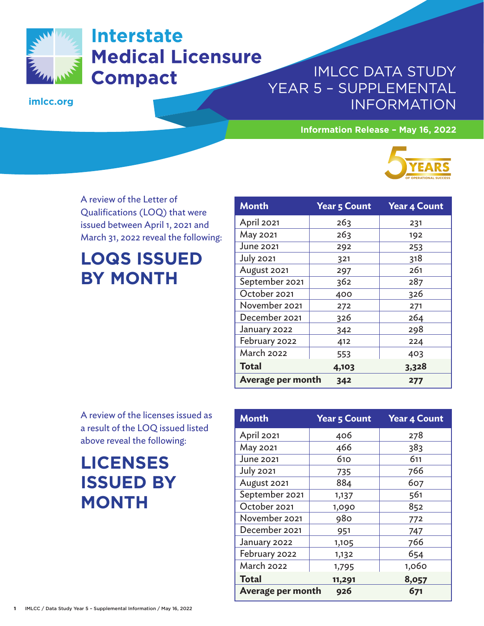

# **Interstate Medical Licensure Compact**

**imlcc.org**

#### IMLCC DATA STUDY YEAR 5 – SUPPLEMENTAL INFORMATION

**Information Release – May 16, 2022**



A review of the Letter of Qualifications (LOQ) that were issued between April 1, 2021 and March 31, 2022 reveal the following:

# **LOQS ISSUED BY MONTH**

| <b>Month</b>             | <b>Year 5 Count</b> | <b>Year 4 Count</b> |
|--------------------------|---------------------|---------------------|
| April 2021               | 263                 | 231                 |
| May 2021                 | 263                 | 192                 |
| June 2021                | 292                 | 253                 |
| <b>July 2021</b>         | 321                 | 318                 |
| August 2021              | 297                 | 261                 |
| September 2021           | 362                 | 287                 |
| October 2021             | 400                 | 326                 |
| November 2021            | 272                 | 271                 |
| December 2021            | 326                 | 264                 |
| January 2022             | 342                 | 298                 |
| February 2022            | 412                 | 224                 |
| <b>March 2022</b>        | 553                 | 403                 |
| <b>Total</b>             | 4,103               | 3,328               |
| <b>Average per month</b> | 342                 | 277                 |

A review of the licenses issued as a result of the LOQ issued listed above reveal the following:

## **LICENSES ISSUED BY MONTH**

| <b>Month</b>      | <b>Year 5 Count</b> | <b>Year 4 Count</b> |  |
|-------------------|---------------------|---------------------|--|
| April 2021        | 406                 | 278                 |  |
| May 2021          | 466                 | 383                 |  |
| <b>June 2021</b>  | 610                 | 611                 |  |
| <b>July 2021</b>  | 735                 | 766                 |  |
| August 2021       | 884                 | 607                 |  |
| September 2021    | 1,137               | 561                 |  |
| October 2021      | 1,090               | 852                 |  |
| November 2021     | 980                 | 772                 |  |
| December 2021     | 951                 | 747                 |  |
| January 2022      | 1,105               | 766                 |  |
| February 2022     | 1,132               | 654                 |  |
| <b>March 2022</b> | 1,795               | 1,060               |  |
| <b>Total</b>      | 11,291              | 8,057               |  |
| Average per month | 926                 | 671                 |  |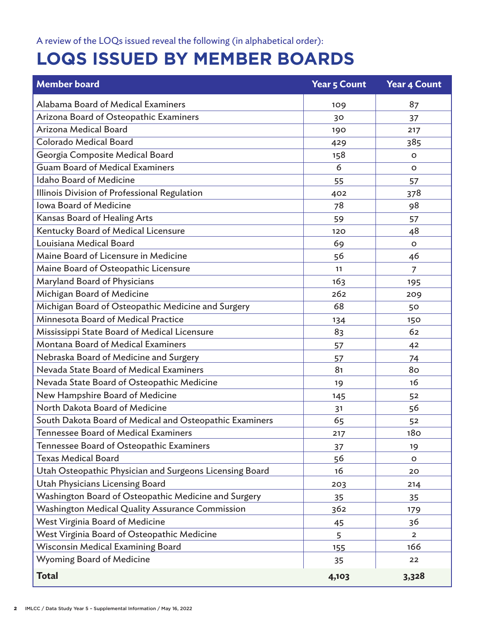## **LOQS ISSUED BY MEMBER BOARDS**

| <b>Member board</b>                                     | <b>Year 5 Count</b> | <b>Year 4 Count</b> |
|---------------------------------------------------------|---------------------|---------------------|
| Alabama Board of Medical Examiners                      | 109                 | 87                  |
| Arizona Board of Osteopathic Examiners                  | 30                  | 37                  |
| Arizona Medical Board                                   | 190                 | 217                 |
| Colorado Medical Board                                  | 429                 | 385                 |
| Georgia Composite Medical Board                         | 158                 | O                   |
| <b>Guam Board of Medical Examiners</b>                  | 6                   | $\circ$             |
| <b>Idaho Board of Medicine</b>                          | 55                  | 57                  |
| Illinois Division of Professional Regulation            | 402                 | 378                 |
| <b>Iowa Board of Medicine</b>                           | 78                  | 98                  |
| Kansas Board of Healing Arts                            | 59                  | 57                  |
| Kentucky Board of Medical Licensure                     | 120                 | 48                  |
| Louisiana Medical Board                                 | 69                  | $\circ$             |
| Maine Board of Licensure in Medicine                    | 56                  | 46                  |
| Maine Board of Osteopathic Licensure                    | 11                  | 7                   |
| Maryland Board of Physicians                            | 163                 | 195                 |
| Michigan Board of Medicine                              | 262                 | 209                 |
| Michigan Board of Osteopathic Medicine and Surgery      | 68                  | 50                  |
| Minnesota Board of Medical Practice                     | 134                 | 150                 |
| Mississippi State Board of Medical Licensure            | 83                  | 62                  |
| <b>Montana Board of Medical Examiners</b>               | 57                  | 42                  |
| Nebraska Board of Medicine and Surgery                  | 57                  | 74                  |
| Nevada State Board of Medical Examiners                 | 81                  | 80                  |
| Nevada State Board of Osteopathic Medicine              | 19                  | 16                  |
| New Hampshire Board of Medicine                         | 145                 | 52                  |
| North Dakota Board of Medicine                          | 31                  | 56                  |
| South Dakota Board of Medical and Osteopathic Examiners | 65                  | 52                  |
| Tennessee Board of Medical Examiners                    | 217                 | <b>180</b>          |
| Tennessee Board of Osteopathic Examiners                | 37                  | 19                  |
| <b>Texas Medical Board</b>                              | 56                  | о                   |
| Utah Osteopathic Physician and Surgeons Licensing Board | 16                  | 20                  |
| <b>Utah Physicians Licensing Board</b>                  | 203                 | 214                 |
| Washington Board of Osteopathic Medicine and Surgery    | 35                  | 35                  |
| Washington Medical Quality Assurance Commission         | 362                 | 179                 |
| West Virginia Board of Medicine                         | 45                  | 36                  |
| West Virginia Board of Osteopathic Medicine             | 5                   | $\overline{2}$      |
| Wisconsin Medical Examining Board                       | 155                 | 166                 |
| Wyoming Board of Medicine                               | 35                  | 22                  |
| <b>Total</b>                                            | 4,103               | 3,328               |